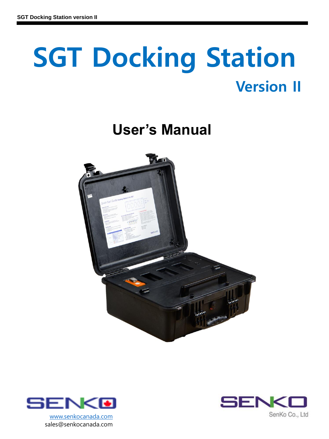# **SGT Docking Station Version II**

# **User's Manual**





sales@senkocanada.com

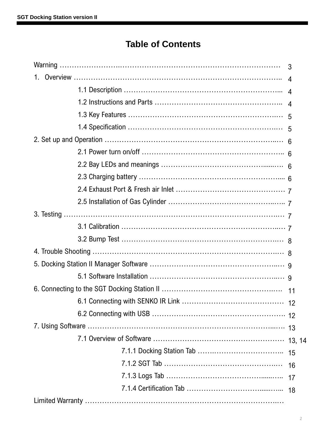# **Table of Contents**

|    | 3  |
|----|----|
| 1. |    |
|    |    |
|    |    |
|    |    |
|    |    |
|    |    |
|    |    |
|    |    |
|    |    |
|    |    |
|    |    |
|    |    |
|    |    |
|    |    |
|    |    |
|    |    |
|    |    |
|    |    |
|    |    |
|    |    |
|    |    |
|    |    |
|    | 15 |
|    | 16 |
|    | 17 |
|    | 18 |
|    |    |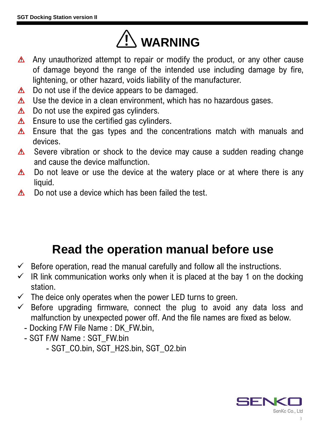

- Any unauthorized attempt to repair or modify the product, or any other cause of damage beyond the range of the intended use including damage by fire, lightening, or other hazard, voids liability of the manufacturer.
- Do not use if the device appears to be damaged.  $\Delta^-$
- Use the device in a clean environment, which has no hazardous gases.  $\Delta^-$
- Do not use the expired gas cylinders.  $\Delta$
- Ensure to use the certified gas cylinders.  $\Delta$
- Ensure that the gas types and the concentrations match with manuals and  $\triangle^$ devices.
- Severe vibration or shock to the device may cause a sudden reading change  $\Delta^$ and cause the device malfunction.
- Do not leave or use the device at the watery place or at where there is any  $\Delta$ liquid.
- Do not use a device which has been failed the test.  $\Delta$

# **Read the operation manual before use**

- $\checkmark$  Before operation, read the manual carefully and follow all the instructions.
- $\checkmark$  IR link communication works only when it is placed at the bay 1 on the docking station.
- $\checkmark$  The deice only operates when the power LED turns to green.
- $\checkmark$  Before upgrading firmware, connect the plug to avoid any data loss and malfunction by unexpected power off. And the file names are fixed as below.
	- Docking F/W File Name : DK\_FW.bin,
	- SGT F/W Name : SGT\_FW.bin
		- SGT\_CO.bin, SGT\_H2S.bin, SGT\_O2.bin

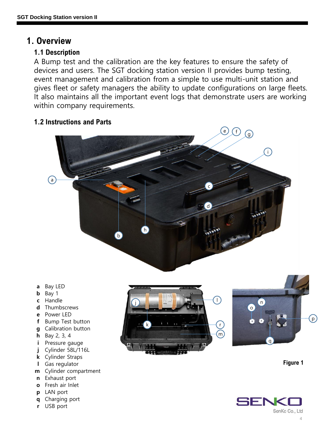#### **1. Overview**

#### **1.1 Description**

A Bump test and the calibration are the key features to ensure the safety of devices and users. The SGT docking station version II provides bump testing, event management and calibration from a simple to use multi-unit station and gives fleet or safety managers the ability to update configurations on large fleets. It also maintains all the important event logs that demonstrate users are working within company requirements.

#### **1.2 Instructions and Parts**







- 
- 
- **h** Bay 2, 3, 4
- 
- **j** Cylinder 58L/116L
- **k** Cylinder Straps
- **l** Gas regulator
- **m** Cylinder compartment
- **n** Exhaust port
- **o** Fresh air Inlet
- **p** LAN port
- **q** Charging port
- **r** USB port



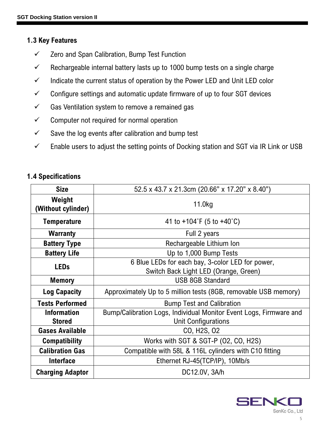#### **1.3 Key Features**

- ✓ Zero and Span Calibration, Bump Test Function
- $\checkmark$  Rechargeable internal battery lasts up to 1000 bump tests on a single charge
- $\checkmark$  Indicate the current status of operation by the Power LED and Unit LED color
- $\checkmark$  Configure settings and automatic update firmware of up to four SGT devices
- $\checkmark$  Gas Ventilation system to remove a remained gas
- $\checkmark$  Computer not required for normal operation
- $\checkmark$  Save the log events after calibration and bump test
- $\checkmark$  Enable users to adjust the setting points of Docking station and SGT via IR Link or USB

#### **1.4 Specifications**

| <b>Size</b>                         | 52.5 x 43.7 x 21.3cm (20.66" x 17.20" x 8.40")                                            |
|-------------------------------------|-------------------------------------------------------------------------------------------|
| Weight<br>(Without cylinder)        | 11.0kg                                                                                    |
| <b>Temperature</b>                  | 41 to $+104$ °F (5 to $+40$ °C)                                                           |
| <b>Warranty</b>                     | Full 2 years                                                                              |
| <b>Battery Type</b>                 | Rechargeable Lithium Ion                                                                  |
| <b>Battery Life</b>                 | Up to 1,000 Bump Tests                                                                    |
| <b>LEDs</b>                         | 6 Blue LEDs for each bay, 3-color LED for power,<br>Switch Back Light LED (Orange, Green) |
| <b>Memory</b>                       | <b>USB 8GB Standard</b>                                                                   |
| <b>Log Capacity</b>                 | Approximately Up to 5 million tests (8GB, removable USB memory)                           |
| <b>Tests Performed</b>              | <b>Bump Test and Calibration</b>                                                          |
| <b>Information</b><br><b>Stored</b> | Bump/Calibration Logs, Individual Monitor Event Logs, Firmware and<br>Unit Configurations |
| <b>Gases Available</b>              | CO, H <sub>2</sub> S, 02                                                                  |
| <b>Compatibility</b>                | Works with SGT & SGT-P (02, CO, H2S)                                                      |
| <b>Calibration Gas</b>              | Compatible with 58L & 116L cylinders with C10 fitting                                     |
| <b>Interface</b>                    | Ethernet RJ-45(TCP/IP), 10Mb/s                                                            |
| <b>Charging Adaptor</b>             | DC12.0V, 3A/h                                                                             |

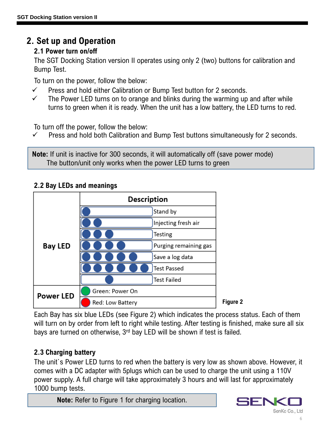### **2. Set up and Operation**

#### **2.1 Power turn on/off**

The SGT Docking Station version II operates using only 2 (two) buttons for calibration and Bump Test.

To turn on the power, follow the below:

- $\checkmark$  Press and hold either Calibration or Bump Test button for 2 seconds.
- $\checkmark$  The Power LED turns on to orange and blinks during the warming up and after while turns to green when it is ready. When the unit has a low battery, the LED turns to red.

To turn off the power, follow the below:

 $\checkmark$  Press and hold both Calibration and Bump Test buttons simultaneously for 2 seconds.

**Note:** If unit is inactive for 300 seconds, it will automatically off (save power mode) The button/unit only works when the power LED turns to green

#### **2.2 Bay LEDs and meanings**



Each Bay has six blue LEDs (see Figure 2) which indicates the process status. Each of them will turn on by order from left to right while testing. After testing is finished, make sure all six bays are turned on otherwise, 3<sup>rd</sup> bay LED will be shown if test is failed.

#### **2.3 Charging battery**

The unit`s Power LED turns to red when the battery is very low as shown above. However, it comes with a DC adapter with 5plugs which can be used to charge the unit using a 110V power supply. A full charge will take approximately 3 hours and will last for approximately 1000 bump tests.

**Note:** Refer to Figure 1 for charging location.

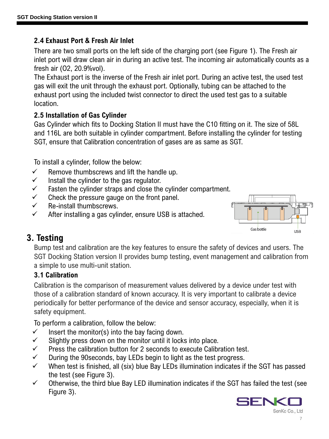#### **2.4 Exhaust Port & Fresh Air Inlet**

There are two small ports on the left side of the charging port (see Figure 1). The Fresh air inlet port will draw clean air in during an active test. The incoming air automatically counts as a fresh air (O2, 20.9%vol).

The Exhaust port is the inverse of the Fresh air inlet port. During an active test, the used test gas will exit the unit through the exhaust port. Optionally, tubing can be attached to the exhaust port using the included twist connector to direct the used test gas to a suitable location.

#### **2.5 Installation of Gas Cylinder**

Gas Cylinder which fits to Docking Station II must have the C10 fitting on it. The size of 58L and 116L are both suitable in cylinder compartment. Before installing the cylinder for testing SGT, ensure that Calibration concentration of gases are as same as SGT.

To install a cylinder, follow the below:

- $\checkmark$  Remove thumbscrews and lift the handle up.
- $\checkmark$  Install the cylinder to the gas regulator.
- $\checkmark$  Fasten the cylinder straps and close the cylinder compartment.
- $\checkmark$  Check the pressure gauge on the front panel.
- $\checkmark$  Re-install thumbscrews.
- $\checkmark$  After installing a gas cylinder, ensure USB is attached.



## **3. Testing**

Bump test and calibration are the key features to ensure the safety of devices and users. The SGT Docking Station version II provides bump testing, event management and calibration from a simple to use multi-unit station.

#### **3.1 Calibration**

Calibration is the comparison of measurement values delivered by a device under test with those of a calibration standard of known accuracy. It is very important to calibrate a device periodically for better performance of the device and sensor accuracy, especially, when it is safety equipment.

To perform a calibration, follow the below:

- $\checkmark$  Insert the monitor(s) into the bay facing down.
- $\checkmark$  Slightly press down on the monitor until it locks into place.
- $\checkmark$  Press the calibration button for 2 seconds to execute Calibration test.
- $\checkmark$  During the 90 seconds, bay LEDs begin to light as the test progress.
- $\checkmark$  When test is finished, all (six) blue Bay LEDs illumination indicates if the SGT has passed the test (see Figure 3).
- $\checkmark$  Otherwise, the third blue Bay LED illumination indicates if the SGT has failed the test (see Figure 3).

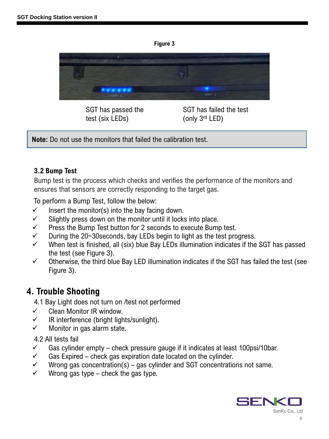



SGT has passed the test (six LEDs)

SGT has failed the test (only 3rd LED)

**Note:** Do not use the monitors that failed the calibration test.

#### **3.2 Bump Test**

Bump test is the process which checks and verifies the performance of the monitors and ensures that sensors are correctly responding to the target gas.

To perform a Bump Test, follow the below:

- $\checkmark$  Insert the monitor(s) into the bay facing down.
- $\checkmark$  Slightly press down on the monitor until it locks into place.
- $\checkmark$  Press the Bump Test button for 2 seconds to execute Bump test.
- $\checkmark$  During the 20~30 seconds, bay LEDs begin to light as the test progress.
- $\checkmark$  When test is finished, all (six) blue Bay LEDs illumination indicates if the SGT has passed the test (see Figure 3).
- $\checkmark$  Otherwise, the third blue Bay LED illumination indicates if the SGT has failed the test (see Figure 3).

## **4. Trouble Shooting**

- 4.1 Bay Light does not turn on /test not performed
- ✓ Clean Monitor IR window.
- $\checkmark$  IR interference (bright lights/sunlight).
- $\checkmark$  Monitor in gas alarm state.

#### 4.2 All tests fail

- $\checkmark$  Gas cylinder empty check pressure gauge if it indicates at least 100psi/10bar.
- $\checkmark$  Gas Expired check gas expiration date located on the cylinder.
- $\checkmark$  Wrong gas concentration(s) gas cylinder and SGT concentrations not same.
- $\checkmark$  Wrong gas type check the gas type.

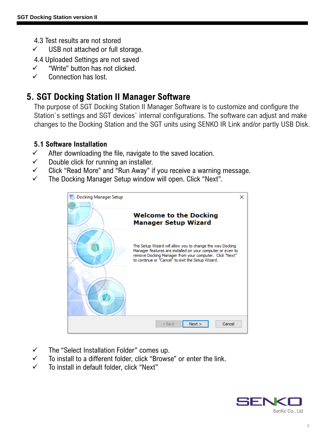- 4.3 Test results are not stored
- $\checkmark$  USB not attached or full storage.
- 4.4 Uploaded Settings are not saved
- ✓ "Write" button has not clicked.
- ✓ Connection has lost.

## **5. SGT Docking Station II Manager Software**

The purpose of SGT Docking Station II Manager Software is to customize and configure the Station`s settings and SGT devices` internal configurations. The software can adjust and make changes to the Docking Station and the SGT units using SENKO IR Link and/or partly USB Disk.

#### **5.1 Software Installation**

- $\checkmark$  After downloading the file, navigate to the saved location.
- $\checkmark$  Double click for running an installer.
- $\checkmark$  Click "Read More" and "Run Away" if you receive a warning message.
- ✓ The Docking Manager Setup window will open. Click "Next".



- $\checkmark$  The "Select Installation Folder" comes up.
- $\checkmark$  To install to a different folder, click "Browse" or enter the link.
- ✓ To install in default folder, click "Next"

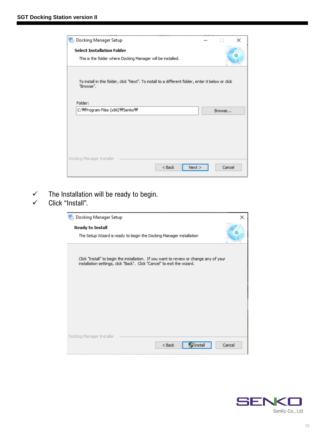| <b>Docking Manager Setup</b><br>59                                                                                        |        | $\times$ |
|---------------------------------------------------------------------------------------------------------------------------|--------|----------|
| <b>Select Installation Folder</b>                                                                                         |        |          |
| This is the folder where Docking Manager will be installed.                                                               |        |          |
| To install in this folder, dick "Next". To install to a different folder, enter it below or click<br>"Browse".<br>Folder: |        |          |
| C: WProgram Files (x86) WSenko W                                                                                          | Browse |          |
|                                                                                                                           |        |          |
|                                                                                                                           |        |          |
| Docking Manager Installer                                                                                                 |        |          |
| $<$ Back<br>Next                                                                                                          | Cancel |          |

- $\checkmark$  The Installation will be ready to begin.
- ✓ Click "Install".

| <b>Docking Manager Setup</b><br>×                                                                                                                                |
|------------------------------------------------------------------------------------------------------------------------------------------------------------------|
| <b>Ready to Install</b><br>The Setup Wizard is ready to begin the Docking Manager installation                                                                   |
| Click "Install" to begin the installation. If you want to review or change any of your<br>installation settings, dick "Back". Click "Cancel" to exit the wizard. |
|                                                                                                                                                                  |
| Docking Manager Installer<br>$<$ Back<br><b>Install</b><br>Cancel                                                                                                |

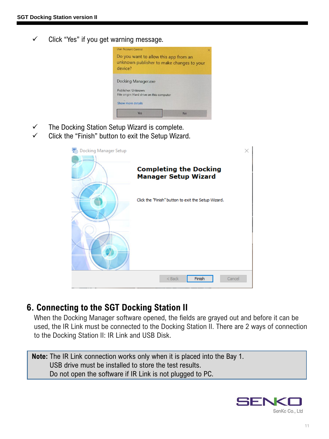$\checkmark$  Click "Yes" if you get warning message.



- ✓ The Docking Station Setup Wizard is complete.
- ✓ Click the "Finish" button to exit the Setup Wizard.

| <b>Docking Manager Setup</b><br>59 |                                                              |  |
|------------------------------------|--------------------------------------------------------------|--|
|                                    | <b>Completing the Docking</b><br><b>Manager Setup Wizard</b> |  |
|                                    | Click the "Finish" button to exit the Setup Wizard.          |  |
|                                    |                                                              |  |
|                                    |                                                              |  |
|                                    | Finish<br>$<$ Back<br>Cancel                                 |  |

#### **6. Connecting to the SGT Docking Station II**

When the Docking Manager software opened, the fields are grayed out and before it can be used, the IR Link must be connected to the Docking Station II. There are 2 ways of connection to the Docking Station II: IR Link and USB Disk.

**Note:** The IR Link connection works only when it is placed into the Bay 1. USB drive must be installed to store the test results. Do not open the software if IR Link is not plugged to PC.

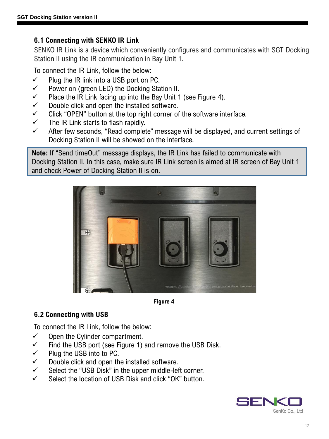#### **6.1 Connecting with SENKO IR Link**

SENKO IR Link is a device which conveniently configures and communicates with SGT Docking Station II using the IR communication in Bay Unit 1.

To connect the IR Link, follow the below:

- $\checkmark$  Plug the IR link into a USB port on PC.
- ✓ Power on (green LED) the Docking Station II.
- $\checkmark$  Place the IR Link facing up into the Bay Unit 1 (see Figure 4).
- $\checkmark$  Double click and open the installed software.
- $\checkmark$  Click "OPEN" button at the top right corner of the software interface.
- $\checkmark$  The IR Link starts to flash rapidly.
- ✓ After few seconds, "Read complete" message will be displayed, and current settings of Docking Station II will be showed on the interface.

**Note:** If "Send timeOut" message displays, the IR Link has failed to communicate with Docking Station II. In this case, make sure IR Link screen is aimed at IR screen of Bay Unit 1 and check Power of Docking Station II is on.



**Figure 4**

#### **6.2 Connecting with USB**

To connect the IR Link, follow the below:

- $\checkmark$  Open the Cylinder compartment.
- $\checkmark$  Find the USB port (see Figure 1) and remove the USB Disk.
- $\checkmark$  Plug the USB into to PC.
- $\checkmark$  Double click and open the installed software.
- ✓ Select the "USB Disk" in the upper middle-left corner.
- ✓ Select the location of USB Disk and click "OK" button.

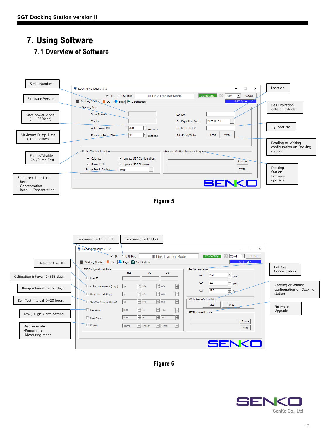#### **7. Using Software 7.1 Overview of Software**



**Figure 6**

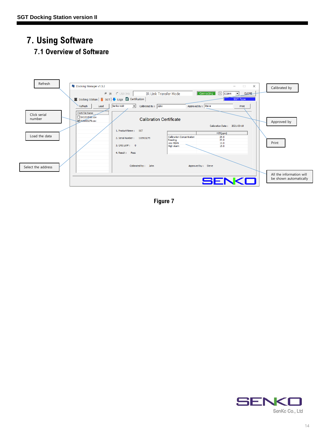# **7. Using Software**

#### **7.1 Overview of Software**



**Figure 7**

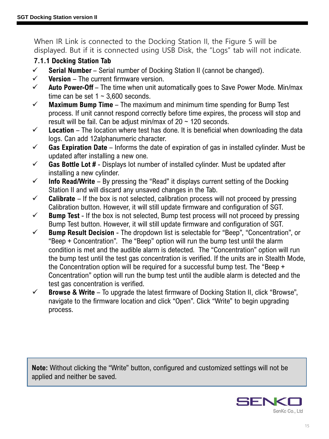When IR Link is connected to the Docking Station II, the Figure 5 will be displayed. But if it is connected using USB Disk, the "Logs" tab will not indicate.

#### **7.1.1 Docking Station Tab**

- ✓ **Serial Number**  Serial number of Docking Station II (cannot be changed).
- ✓ **Version** The current firmware version.
- ✓ **Auto Power-Off**  The time when unit automatically goes to Save Power Mode. Min/max time can be set  $1 \sim 3,600$  seconds.
- ✓ **Maximum Bump Time**  The maximum and minimum time spending for Bump Test process. If unit cannot respond correctly before time expires, the process will stop and result will be fail. Can be adjust min/max of  $20 \sim 120$  seconds.
- ✓ **Location** The location where test has done. It is beneficial when downloading the data logs. Can add 12alphanumeric character.
- ✓ **Gas Expiration Date**  Informs the date of expiration of gas in installed cylinder. Must be updated after installing a new one.
- ✓ **Gas Bottle Lot #**  Displays lot number of installed cylinder. Must be updated after installing a new cylinder.
- ✓ **Info Read/Write**  By pressing the "Read" it displays current setting of the Docking Station II and will discard any unsaved changes in the Tab.
- ✓ **Calibrate** If the box is not selected, calibration process will not proceed by pressing Calibration button. However, it will still update firmware and configuration of SGT.
- ✓ **Bump Test**  If the box is not selected, Bump test process will not proceed by pressing Bump Test button. However, it will still update firmware and configuration of SGT.
- ✓ **Bump Result Decision**  The dropdown list is selectable for "Beep", "Concentration", or "Beep + Concentration". The "Beep" option will run the bump test until the alarm condition is met and the audible alarm is detected. The "Concentration" option will run the bump test until the test gas concentration is verified. If the units are in Stealth Mode, the Concentration option will be required for a successful bump test. The "Beep + Concentration" option will run the bump test until the audible alarm is detected and the test gas concentration is verified.
- ✓ **Browse & Write**  To upgrade the latest firmware of Docking Station II, click "Browse", navigate to the firmware location and click "Open". Click "Write" to begin upgrading process.

**Note:** Without clicking the "Write" button, configured and customized settings will not be applied and neither be saved.

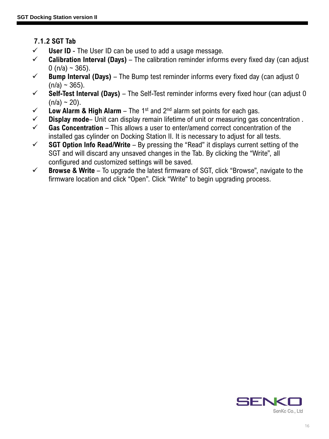#### **7.1.2 SGT Tab**

- ✓ **User ID**  The User ID can be used to add a usage message.
- ✓ **Calibration Interval (Days)**  The calibration reminder informs every fixed day (can adjust 0 (n/a)  $\sim$  365).
- $\checkmark$  **Bump Interval (Days)** The Bump test reminder informs every fixed day (can adjust 0  $(n/a) \sim 365$ ).
- $\checkmark$  **Self-Test Interval (Days)** The Self-Test reminder informs every fixed hour (can adjust 0  $(n/a) \sim 20$ ).
- $\checkmark$  **Low Alarm & High Alarm** The 1<sup>st</sup> and 2<sup>nd</sup> alarm set points for each gas.
- ✓ **Display mode** Unit can display remain lifetime of unit or measuring gas concentration .
- ✓ **Gas Concentration**  This allows a user to enter/amend correct concentration of the installed gas cylinder on Docking Station II. It is necessary to adjust for all tests.
- ✓ **SGT Option Info Read/Write**  By pressing the "Read" it displays current setting of the SGT and will discard any unsaved changes in the Tab. By clicking the "Write", all configured and customized settings will be saved.
- ✓ **Browse & Write**  To upgrade the latest firmware of SGT, click "Browse", navigate to the firmware location and click "Open". Click "Write" to begin upgrading process.

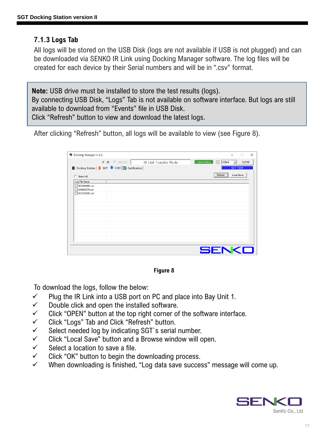#### **7.1.3 Logs Tab**

All logs will be stored on the USB Disk (logs are not available if USB is not plugged) and can be downloaded via SENKO IR Link using Docking Manager software. The log files will be created for each device by their Serial numbers and will be in ".csv" format.

**Note:** USB drive must be installed to store the test results (logs). By connecting USB Disk, "Logs" Tab is not available on software interface. But logs are still available to download from "Events" file in USB Disk. Click "Refresh" button to view and download the latest logs.

After clicking "Refresh" button, all logs will be available to view (see Figure 8).

| Docking Manager v1.3.2                             |                              |                          | $\times$<br>m                            |
|----------------------------------------------------|------------------------------|--------------------------|------------------------------------------|
| $C$ $R$ $C$ USB Disk                               | <b>IR Link Transfer Mode</b> | Connecting <b>C</b> COM4 | <b>CLOSE</b><br>$\overline{\phantom{a}}$ |
| ■ Docking Station   ■ SGT → Logs   ■ Certification |                              |                          | <b>SGT Type</b>                          |
| $\Box$ Select All                                  |                              | Refresh                  | <b>Local Save</b>                        |
| Log File Name                                      |                              |                          |                                          |
| SK0410408.csv<br>□SJ0903279.csv<br>SK0204508.csv   |                              |                          |                                          |
|                                                    |                              |                          |                                          |
|                                                    |                              |                          |                                          |
|                                                    |                              |                          |                                          |
|                                                    |                              |                          |                                          |
|                                                    |                              | SENKI                    |                                          |

**Figure 8**

To download the logs, follow the below:

- $\checkmark$  Plug the IR Link into a USB port on PC and place into Bay Unit 1.
- $\checkmark$  Double click and open the installed software.
- $\checkmark$  Click "OPEN" button at the top right corner of the software interface.
- ✓ Click "Logs" Tab and Click "Refresh" button.
- $\checkmark$  Select needed log by indicating SGT's serial number.
- ✓ Click "Local Save" button and a Browse window will open.
- $\checkmark$  Select a location to save a file.
- $\checkmark$  Click "OK" button to begin the downloading process.
- ✓ When downloading is finished, "Log data save success" message will come up.

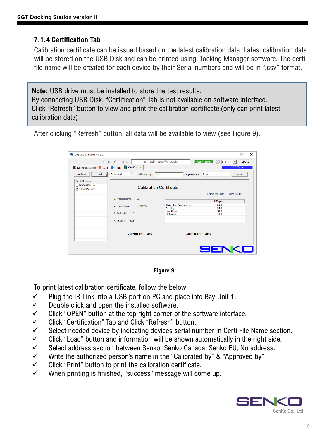#### **7.1.4 Certification Tab**

Calibration certificate can be issued based on the latest calibration data. Latest calibration data will be stored on the USB Disk and can be printed using Docking Manager software. The certi file name will be created for each device by their Serial numbers and will be in ".csv" format.

**Note:** USB drive must be installed to store the test results. By connecting USB Disk, "Certification" Tab is not available on software interface. Click "Refresh" button to view and print the calibration certificate.(only can print latest calibration data)

After clicking "Refresh" button, all data will be available to view (see Figure 9).

| Docking Manager v1.3.2                                                                                                |                                                          |                                                          |                      | $\times$<br>o      |
|-----------------------------------------------------------------------------------------------------------------------|----------------------------------------------------------|----------------------------------------------------------|----------------------|--------------------|
| $\sqrt{2}$                                                                                                            | <b>IR</b> C USB Disk<br><b>IR Link Transfer Mode</b>     |                                                          | Connecting C COM4    | $\mathbf{I}$ CLOSE |
|                                                                                                                       | Docking Station   SGT   Logs   Certification             |                                                          |                      | <b>SGT Type</b>    |
| $\boxed{\phantom{1}}$ Load $\phantom{1}$<br>Refresh                                                                   | Senko Addr<br>Calibrated By: John<br>$\vert \cdot \vert$ |                                                          | Approved By: Steve   | Print              |
| Certi File Name<br>SK0204508.csv<br><b>Calibration Certificate</b><br>□ SJ0903279.csv<br>Calibration Date: 2021-03-10 |                                                          |                                                          |                      |                    |
|                                                                                                                       | 1. Product Name:<br><b>SGT</b>                           |                                                          | H2S(ppm)             |                    |
|                                                                                                                       | 2. Serial Number:<br>SJ0903279                           | <b>Calibration Concentration</b><br>Reading<br>Low Alarm | 25.0<br>25.0<br>10.0 |                    |
|                                                                                                                       | $3. GAS$ Lot $#:$<br>$\circ$<br>4. Result :<br>Pass      | <b>High Alarm</b>                                        | 15.0                 |                    |
|                                                                                                                       | Calibrated by:<br>John                                   |                                                          | Approved by: Steve   |                    |
|                                                                                                                       |                                                          |                                                          | SENKO                |                    |

#### **Figure 9**

To print latest calibration certificate, follow the below:

- $\checkmark$  Plug the IR Link into a USB port on PC and place into Bay Unit 1.
- $\checkmark$  Double click and open the installed software.
- $\checkmark$  Click "OPEN" button at the top right corner of the software interface.
- ✓ Click "Certification" Tab and Click "Refresh" button.
- $\checkmark$  Select needed device by indicating devices serial number in Certi File Name section.
- $\checkmark$  Click "Load" button and information will be shown automatically in the right side.
- ✓ Select address section between Senko, Senko Canada, Senko EU, No address.
- $\checkmark$  Write the authorized person's name in the "Calibrated by" & "Approved by"
- $\checkmark$  Click "Print" button to print the calibration certificate.
- ✓ When printing is finished, "success" message will come up.